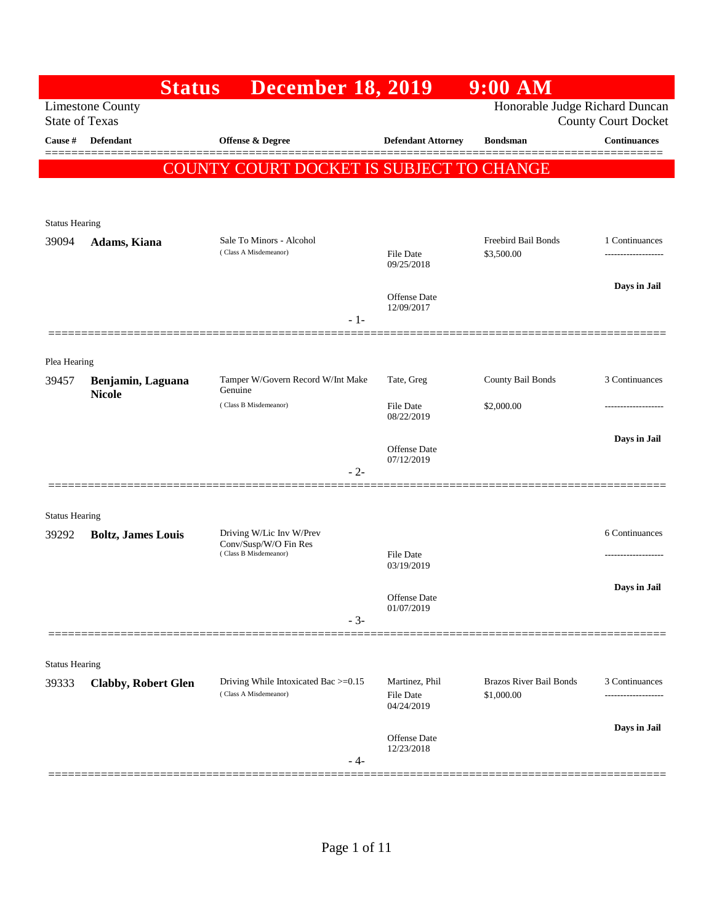|                       | <b>Status</b>                      | <b>December 18, 2019</b>                                                   |                                           | 9:00 AM                                      |                            |
|-----------------------|------------------------------------|----------------------------------------------------------------------------|-------------------------------------------|----------------------------------------------|----------------------------|
| <b>State of Texas</b> | <b>Limestone County</b>            |                                                                            |                                           | Honorable Judge Richard Duncan               | <b>County Court Docket</b> |
| Cause #               | Defendant                          | Offense & Degree                                                           | <b>Defendant Attorney</b>                 | <b>Bondsman</b>                              | <b>Continuances</b>        |
|                       |                                    | COUNTY COURT DOCKET IS SUBJECT TO CHANGE                                   |                                           |                                              |                            |
|                       |                                    |                                                                            |                                           |                                              |                            |
| <b>Status Hearing</b> |                                    |                                                                            |                                           |                                              |                            |
| 39094                 | Adams, Kiana                       | Sale To Minors - Alcohol<br>(Class A Misdemeanor)                          |                                           | Freebird Bail Bonds                          | 1 Continuances             |
|                       |                                    |                                                                            | File Date<br>09/25/2018                   | \$3,500.00                                   | -----------------          |
|                       |                                    |                                                                            | Offense Date                              |                                              | Days in Jail               |
|                       |                                    | $-1-$                                                                      | 12/09/2017                                |                                              |                            |
|                       |                                    |                                                                            |                                           |                                              |                            |
| Plea Hearing          |                                    | Tamper W/Govern Record W/Int Make                                          | Tate, Greg                                | County Bail Bonds                            | 3 Continuances             |
| 39457                 | Benjamin, Laguana<br><b>Nicole</b> | Genuine                                                                    |                                           |                                              |                            |
|                       |                                    | (Class B Misdemeanor)                                                      | <b>File Date</b><br>08/22/2019            | \$2,000.00                                   |                            |
|                       |                                    |                                                                            | Offense Date                              |                                              | Days in Jail               |
|                       |                                    | $-2-$                                                                      | 07/12/2019                                |                                              |                            |
|                       |                                    |                                                                            |                                           |                                              |                            |
| <b>Status Hearing</b> |                                    |                                                                            |                                           |                                              |                            |
| 39292                 | <b>Boltz, James Louis</b>          | Driving W/Lic Inv W/Prev<br>Conv/Susp/W/O Fin Res<br>(Class B Misdemeanor) |                                           |                                              | 6 Continuances             |
|                       |                                    |                                                                            | File Date<br>03/19/2019                   |                                              |                            |
|                       |                                    |                                                                            | Offense Date                              |                                              | Days in Jail               |
|                       |                                    | $-3-$                                                                      | 01/07/2019                                |                                              |                            |
|                       |                                    |                                                                            |                                           |                                              |                            |
| <b>Status Hearing</b> |                                    |                                                                            |                                           |                                              |                            |
| 39333                 | <b>Clabby, Robert Glen</b>         | Driving While Intoxicated Bac >=0.15<br>(Class A Misdemeanor)              | Martinez, Phil<br>File Date<br>04/24/2019 | <b>Brazos River Bail Bonds</b><br>\$1,000.00 | 3 Continuances<br>.        |
|                       |                                    |                                                                            | Offense Date                              |                                              | Days in Jail               |
|                       | ================================   | - 4-                                                                       | 12/23/2018                                | =================================            |                            |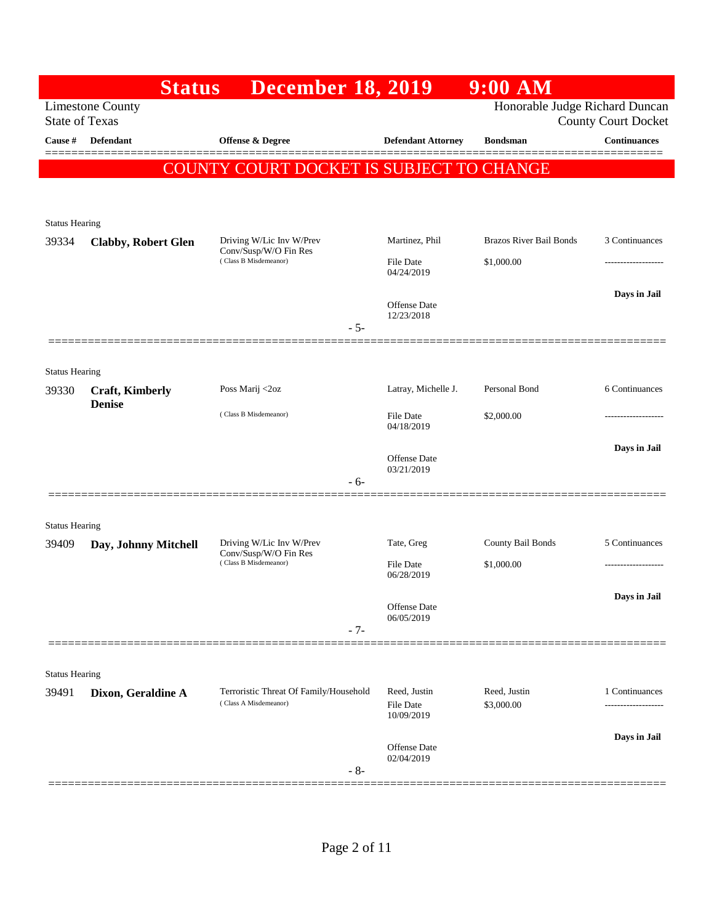|                       | <b>Status</b>                           | <b>December 18, 2019</b>                                        |                                | $9:00$ AM                                                    |                     |
|-----------------------|-----------------------------------------|-----------------------------------------------------------------|--------------------------------|--------------------------------------------------------------|---------------------|
| <b>State of Texas</b> | <b>Limestone County</b>                 |                                                                 |                                | Honorable Judge Richard Duncan<br><b>County Court Docket</b> |                     |
| Cause #               | Defendant                               | <b>Offense &amp; Degree</b>                                     | <b>Defendant Attorney</b>      | <b>Bondsman</b>                                              | <b>Continuances</b> |
|                       |                                         | COUNTY COURT DOCKET IS SUBJECT TO CHANGE                        |                                |                                                              |                     |
|                       |                                         |                                                                 |                                |                                                              |                     |
| <b>Status Hearing</b> |                                         |                                                                 |                                |                                                              |                     |
| 39334                 | <b>Clabby, Robert Glen</b>              | Driving W/Lic Inv W/Prev<br>Conv/Susp/W/O Fin Res               | Martinez, Phil                 | <b>Brazos River Bail Bonds</b>                               | 3 Continuances      |
|                       |                                         | (Class B Misdemeanor)                                           | <b>File Date</b><br>04/24/2019 | \$1,000.00                                                   |                     |
|                       |                                         |                                                                 |                                |                                                              | Days in Jail        |
|                       |                                         | $-5-$                                                           | Offense Date<br>12/23/2018     |                                                              |                     |
|                       |                                         |                                                                 |                                |                                                              |                     |
| <b>Status Hearing</b> |                                         |                                                                 |                                |                                                              |                     |
| 39330                 | <b>Craft, Kimberly</b><br><b>Denise</b> | Poss Marij <2oz                                                 | Latray, Michelle J.            | Personal Bond                                                | 6 Continuances      |
|                       |                                         | (Class B Misdemeanor)                                           | File Date<br>04/18/2019        | \$2,000.00                                                   |                     |
|                       |                                         |                                                                 |                                |                                                              | Days in Jail        |
|                       |                                         | $-6-$                                                           | Offense Date<br>03/21/2019     |                                                              |                     |
|                       |                                         |                                                                 |                                |                                                              |                     |
| <b>Status Hearing</b> |                                         |                                                                 |                                |                                                              |                     |
| 39409                 | Day, Johnny Mitchell                    | Driving W/Lic Inv W/Prev<br>Conv/Susp/W/O Fin Res               | Tate, Greg                     | County Bail Bonds                                            | 5 Continuances      |
|                       |                                         | (Class B Misdemeanor)                                           | <b>File Date</b><br>06/28/2019 | \$1,000.00                                                   | ------------------  |
|                       |                                         |                                                                 | Offense Date                   |                                                              | Days in Jail        |
|                       |                                         | $-7-$                                                           | 06/05/2019                     |                                                              |                     |
|                       |                                         |                                                                 |                                |                                                              |                     |
| <b>Status Hearing</b> |                                         |                                                                 |                                |                                                              |                     |
| 39491                 | Dixon, Geraldine A                      | Terroristic Threat Of Family/Household<br>(Class A Misdemeanor) | Reed, Justin<br>File Date      | Reed, Justin<br>\$3,000.00                                   | 1 Continuances      |
|                       |                                         |                                                                 | 10/09/2019                     |                                                              |                     |
|                       |                                         |                                                                 | Offense Date<br>02/04/2019     |                                                              | Days in Jail        |
|                       |                                         | $-8-$                                                           |                                |                                                              |                     |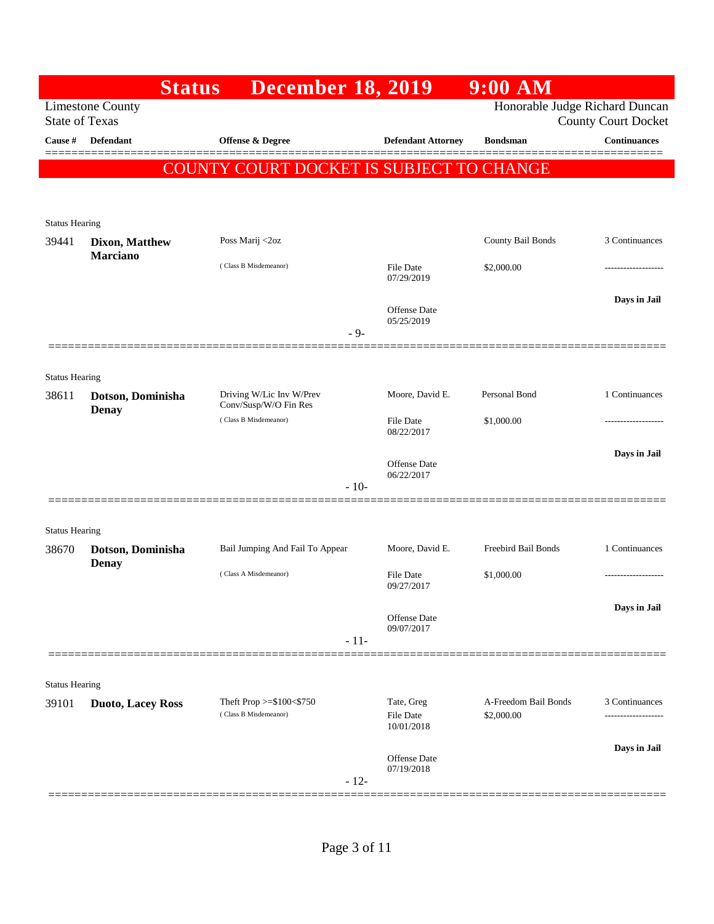|                       |                                                  | <b>Status</b><br><b>December 18, 2019</b>            |        |                                   | $9:00$ AM                          |                                     |
|-----------------------|--------------------------------------------------|------------------------------------------------------|--------|-----------------------------------|------------------------------------|-------------------------------------|
|                       | <b>Limestone County</b><br><b>State of Texas</b> |                                                      |        |                                   | Honorable Judge Richard Duncan     | <b>County Court Docket</b>          |
| Cause #               | <b>Defendant</b>                                 | <b>Offense &amp; Degree</b>                          |        | <b>Defendant Attorney</b>         | <b>Bondsman</b>                    | <b>Continuances</b>                 |
|                       |                                                  | 'Y COURT DOCKET IS SUBJECT TO CHANGE<br><b>COUNT</b> |        |                                   |                                    |                                     |
|                       |                                                  |                                                      |        |                                   |                                    |                                     |
| <b>Status Hearing</b> |                                                  |                                                      |        |                                   |                                    |                                     |
| 39441                 | <b>Dixon, Matthew</b><br><b>Marciano</b>         | Poss Marij <2oz                                      |        |                                   | County Bail Bonds                  | 3 Continuances                      |
|                       |                                                  | (Class B Misdemeanor)                                |        | <b>File Date</b><br>07/29/2019    | \$2,000.00                         | ----------------                    |
|                       |                                                  |                                                      |        | <b>Offense</b> Date               |                                    | Days in Jail                        |
|                       |                                                  |                                                      | $-9-$  | 05/25/2019                        |                                    |                                     |
|                       |                                                  |                                                      |        |                                   |                                    |                                     |
| <b>Status Hearing</b> |                                                  |                                                      |        |                                   |                                    |                                     |
| 38611                 | Dotson, Dominisha<br><b>Denay</b>                | Driving W/Lic Inv W/Prev<br>Conv/Susp/W/O Fin Res    |        | Moore, David E.                   | Personal Bond                      | 1 Continuances                      |
|                       |                                                  | (Class B Misdemeanor)                                |        | File Date<br>08/22/2017           | \$1,000.00                         | --------------                      |
|                       |                                                  |                                                      |        | <b>Offense</b> Date               |                                    | Days in Jail                        |
|                       |                                                  |                                                      | $-10-$ | 06/22/2017                        |                                    |                                     |
|                       |                                                  |                                                      |        |                                   |                                    |                                     |
| <b>Status Hearing</b> |                                                  |                                                      |        |                                   |                                    |                                     |
| 38670                 | Dotson, Dominisha<br><b>Denay</b>                | Bail Jumping And Fail To Appear                      |        | Moore, David E.                   | Freebird Bail Bonds                | 1 Continuances                      |
|                       |                                                  | (Class A Misdemeanor)                                |        | File Date<br>09/27/2017           | \$1,000.00                         |                                     |
|                       |                                                  |                                                      |        | <b>Offense</b> Date               |                                    | Days in Jail                        |
|                       |                                                  |                                                      | $-11-$ | 09/07/2017                        |                                    |                                     |
|                       |                                                  |                                                      |        |                                   |                                    |                                     |
| <b>Status Hearing</b> |                                                  |                                                      |        |                                   |                                    |                                     |
| 39101                 | <b>Duoto, Lacey Ross</b>                         | Theft Prop $>= $100 < $750$<br>(Class B Misdemeanor) |        | Tate, Greg<br><b>File Date</b>    | A-Freedom Bail Bonds<br>\$2,000.00 | 3 Continuances<br>----------------- |
|                       |                                                  |                                                      |        | 10/01/2018                        |                                    | Days in Jail                        |
|                       |                                                  |                                                      |        | <b>Offense</b> Date<br>07/19/2018 |                                    |                                     |
|                       |                                                  |                                                      | $-12-$ |                                   |                                    |                                     |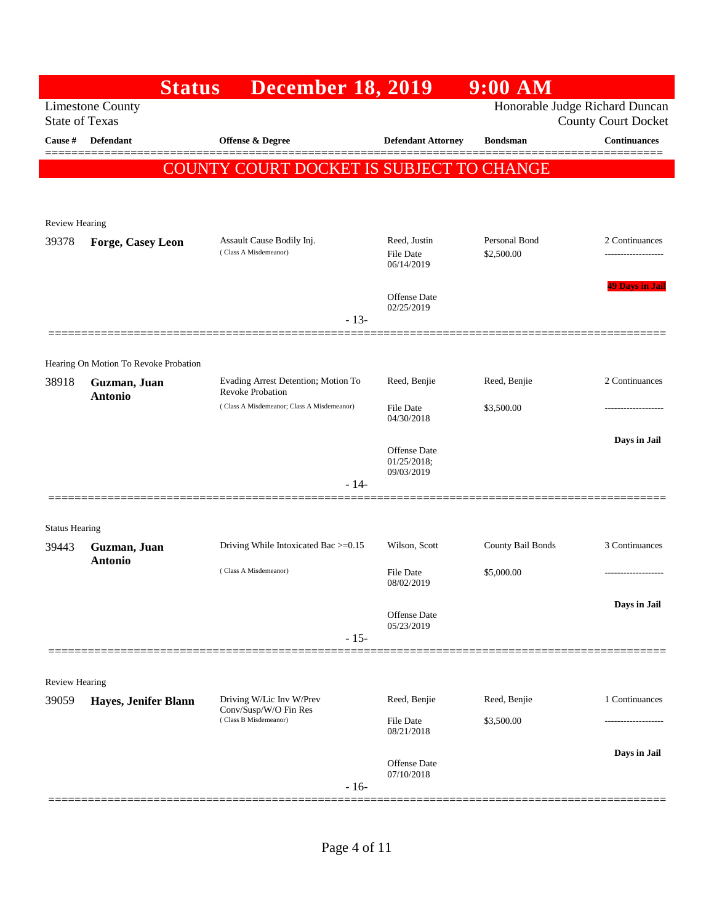|                       | <b>Status</b>                         | <b>December 18, 2019</b>                                       |                                                  | $9:00$ AM                   |                                                              |
|-----------------------|---------------------------------------|----------------------------------------------------------------|--------------------------------------------------|-----------------------------|--------------------------------------------------------------|
| <b>State of Texas</b> | <b>Limestone County</b>               |                                                                |                                                  |                             | Honorable Judge Richard Duncan<br><b>County Court Docket</b> |
| Cause #               | <b>Defendant</b>                      | Offense & Degree                                               | <b>Defendant Attorney</b>                        | <b>Bondsman</b>             | <b>Continuances</b>                                          |
|                       |                                       | COUNTY COURT DOCKET IS SUBJECT TO CHANGE                       |                                                  |                             |                                                              |
|                       |                                       |                                                                |                                                  |                             |                                                              |
| <b>Review Hearing</b> |                                       |                                                                |                                                  |                             |                                                              |
| 39378                 | <b>Forge, Casey Leon</b>              | Assault Cause Bodily Inj.<br>(Class A Misdemeanor)             | Reed, Justin<br>File Date<br>06/14/2019          | Personal Bond<br>\$2,500.00 | 2 Continuances<br>------------------                         |
|                       |                                       | $-13-$                                                         | <b>Offense Date</b><br>02/25/2019                |                             | <b>49 Days in Jail</b>                                       |
|                       |                                       |                                                                |                                                  |                             |                                                              |
|                       | Hearing On Motion To Revoke Probation |                                                                |                                                  |                             |                                                              |
| 38918                 | Guzman, Juan<br><b>Antonio</b>        | Evading Arrest Detention; Motion To<br><b>Revoke Probation</b> | Reed, Benjie                                     | Reed, Benjie                | 2 Continuances                                               |
|                       |                                       | (Class A Misdemeanor; Class A Misdemeanor)                     | <b>File Date</b><br>04/30/2018                   | \$3,500.00                  | -----------------                                            |
|                       |                                       |                                                                |                                                  |                             | Days in Jail                                                 |
|                       |                                       |                                                                | <b>Offense Date</b><br>01/25/2018;<br>09/03/2019 |                             |                                                              |
|                       |                                       | $-14-$                                                         |                                                  |                             |                                                              |
| <b>Status Hearing</b> |                                       |                                                                |                                                  |                             |                                                              |
| 39443                 | Guzman, Juan                          | Driving While Intoxicated Bac >=0.15                           | Wilson, Scott                                    | County Bail Bonds           | 3 Continuances                                               |
|                       | <b>Antonio</b>                        | (Class A Misdemeanor)                                          | <b>File Date</b><br>08/02/2019                   | \$5,000.00                  |                                                              |
|                       |                                       |                                                                |                                                  |                             | Days in Jail                                                 |
|                       |                                       |                                                                | <b>Offense Date</b><br>05/23/2019                |                             |                                                              |
|                       |                                       | $-15-$                                                         |                                                  |                             |                                                              |
| Review Hearing        |                                       |                                                                |                                                  |                             |                                                              |
| 39059                 | Hayes, Jenifer Blann                  | Driving W/Lic Inv W/Prev<br>Conv/Susp/W/O Fin Res              | Reed, Benjie                                     | Reed, Benjie                | 1 Continuances                                               |
|                       |                                       | (Class B Misdemeanor)                                          | File Date<br>08/21/2018                          | \$3,500.00                  |                                                              |
|                       |                                       |                                                                | <b>Offense Date</b><br>07/10/2018                |                             | Days in Jail                                                 |
|                       |                                       | $-16-$                                                         |                                                  |                             |                                                              |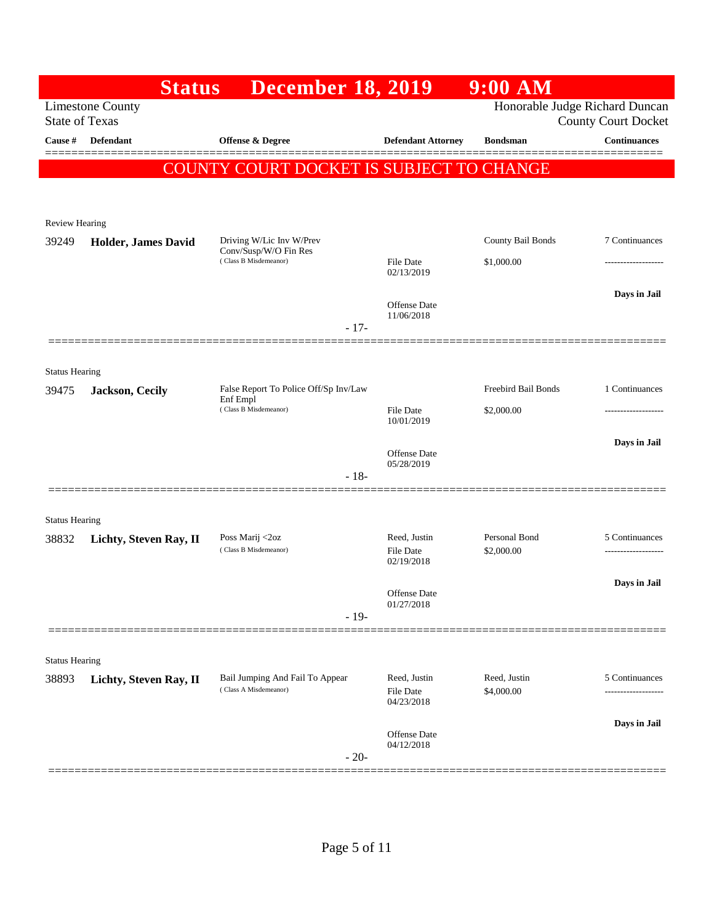|                       | <b>Status</b>              | <b>December 18, 2019</b>                                 |                                                | $9:00$ AM                  |                                                              |
|-----------------------|----------------------------|----------------------------------------------------------|------------------------------------------------|----------------------------|--------------------------------------------------------------|
| <b>State of Texas</b> | <b>Limestone County</b>    |                                                          |                                                |                            | Honorable Judge Richard Duncan<br><b>County Court Docket</b> |
| Cause #               | <b>Defendant</b>           | Offense & Degree                                         | <b>Defendant Attorney</b>                      | <b>Bondsman</b>            | <b>Continuances</b>                                          |
|                       |                            | COUNTY COURT DOCKET IS SUBJECT TO CHANGE                 |                                                |                            |                                                              |
|                       |                            |                                                          |                                                |                            |                                                              |
| <b>Review Hearing</b> |                            |                                                          |                                                |                            |                                                              |
| 39249                 | <b>Holder, James David</b> | Driving W/Lic Inv W/Prev<br>Conv/Susp/W/O Fin Res        |                                                | County Bail Bonds          | 7 Continuances                                               |
|                       |                            | (Class B Misdemeanor)                                    | <b>File Date</b><br>02/13/2019                 | \$1,000.00                 | .                                                            |
|                       |                            |                                                          |                                                |                            | Days in Jail                                                 |
|                       |                            |                                                          | Offense Date<br>11/06/2018                     |                            |                                                              |
|                       | ============               | $-17-$                                                   |                                                |                            |                                                              |
| <b>Status Hearing</b> |                            |                                                          |                                                |                            |                                                              |
| 39475                 | Jackson, Cecily            | False Report To Police Off/Sp Inv/Law<br>Enf Empl        |                                                | Freebird Bail Bonds        | 1 Continuances                                               |
|                       |                            | (Class B Misdemeanor)                                    | <b>File Date</b><br>10/01/2019                 | \$2,000.00                 |                                                              |
|                       |                            |                                                          |                                                |                            | Days in Jail                                                 |
|                       |                            |                                                          | <b>Offense Date</b><br>05/28/2019              |                            |                                                              |
|                       |                            | $-18-$                                                   |                                                |                            |                                                              |
| <b>Status Hearing</b> |                            |                                                          |                                                |                            |                                                              |
| 38832                 | Lichty, Steven Ray, II     | Poss Marij <2oz<br>(Class B Misdemeanor)                 | Reed, Justin<br><b>File Date</b>               | Personal Bond              | 5 Continuances                                               |
|                       |                            |                                                          | 02/19/2018                                     | \$2,000.00                 | -------------------                                          |
|                       |                            |                                                          | Offense Date                                   |                            | Days in Jail                                                 |
|                       |                            | $-19-$                                                   | 01/27/2018                                     |                            |                                                              |
|                       |                            |                                                          |                                                |                            |                                                              |
| <b>Status Hearing</b> |                            |                                                          |                                                |                            |                                                              |
| 38893                 | Lichty, Steven Ray, II     | Bail Jumping And Fail To Appear<br>(Class A Misdemeanor) | Reed, Justin<br><b>File Date</b><br>04/23/2018 | Reed, Justin<br>\$4,000.00 | 5 Continuances                                               |
|                       |                            |                                                          | Offense Date                                   |                            | Days in Jail                                                 |
|                       |                            | $-20-$                                                   | 04/12/2018                                     |                            |                                                              |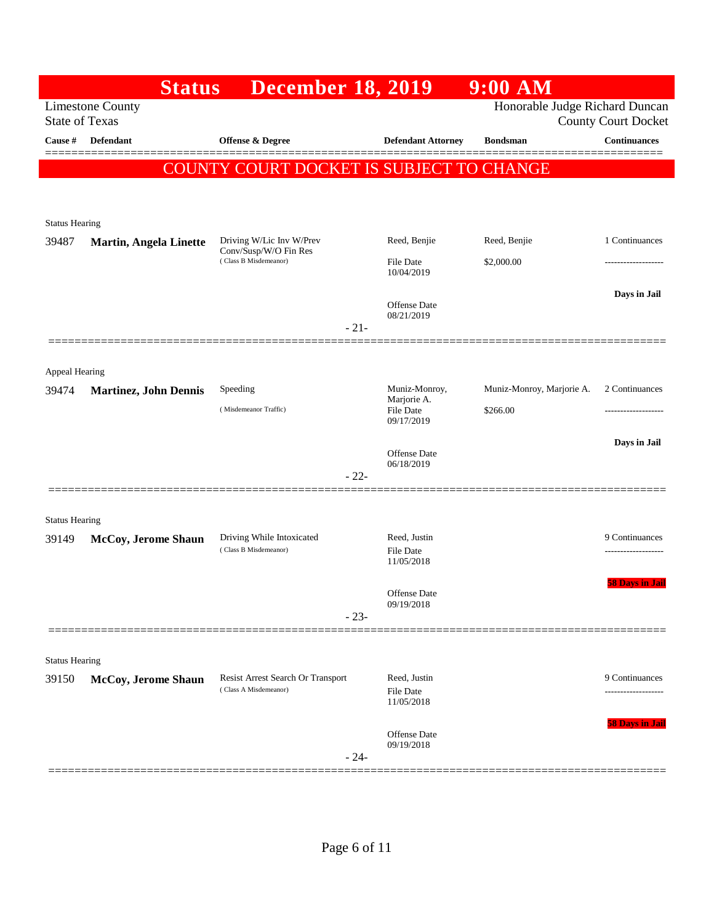| Honorable Judge Richard Duncan<br><b>Limestone County</b><br><b>State of Texas</b><br><b>County Court Docket</b><br><b>Continuances</b><br>Cause #<br><b>Defendant</b><br>Offense & Degree<br><b>Defendant Attorney</b><br><b>Bondsman</b><br>COUNTY COURT DOCKET IS SUBJECT TO CHANGE<br><b>Status Hearing</b><br>Driving W/Lic Inv W/Prev<br>Reed, Benjie<br>Reed, Benjie<br>1 Continuances<br>39487<br><b>Martin, Angela Linette</b><br>Conv/Susp/W/O Fin Res<br>(Class B Misdemeanor)<br>\$2,000.00<br>File Date<br>-------------------<br>10/04/2019<br>Days in Jail<br><b>Offense</b> Date<br>08/21/2019<br>$-21-$<br>=============<br>Appeal Hearing<br>2 Continuances<br>Speeding<br>Muniz-Monroy,<br>Muniz-Monroy, Marjorie A.<br>39474<br><b>Martinez, John Dennis</b><br>Marjorie A.<br>(Misdemeanor Traffic)<br>\$266.00<br><b>File Date</b><br>09/17/2019<br>Days in Jail<br><b>Offense</b> Date<br>06/18/2019<br>$-22-$<br><b>Status Hearing</b><br>Driving While Intoxicated<br>Reed, Justin<br>9 Continuances<br>McCoy, Jerome Shaun<br>39149<br>(Class B Misdemeanor)<br><b>File Date</b><br>-------------------<br>11/05/2018<br><b>58 Days in Jail</b><br>Offense Date<br>09/19/2018<br>$-23-$<br><b>Status Hearing</b><br>Resist Arrest Search Or Transport<br>Reed, Justin<br>9 Continuances<br>39150<br>McCoy, Jerome Shaun<br>(Class A Misdemeanor)<br><b>File Date</b><br>11/05/2018<br><b>58 Days in Jail</b><br>Offense Date<br>09/19/2018<br>$-24-$ | <b>Status</b> | <b>December 18, 2019</b> | 9:00 AM |  |
|--------------------------------------------------------------------------------------------------------------------------------------------------------------------------------------------------------------------------------------------------------------------------------------------------------------------------------------------------------------------------------------------------------------------------------------------------------------------------------------------------------------------------------------------------------------------------------------------------------------------------------------------------------------------------------------------------------------------------------------------------------------------------------------------------------------------------------------------------------------------------------------------------------------------------------------------------------------------------------------------------------------------------------------------------------------------------------------------------------------------------------------------------------------------------------------------------------------------------------------------------------------------------------------------------------------------------------------------------------------------------------------------------------------------------------------------------------------------------------|---------------|--------------------------|---------|--|
|                                                                                                                                                                                                                                                                                                                                                                                                                                                                                                                                                                                                                                                                                                                                                                                                                                                                                                                                                                                                                                                                                                                                                                                                                                                                                                                                                                                                                                                                                |               |                          |         |  |
|                                                                                                                                                                                                                                                                                                                                                                                                                                                                                                                                                                                                                                                                                                                                                                                                                                                                                                                                                                                                                                                                                                                                                                                                                                                                                                                                                                                                                                                                                |               |                          |         |  |
|                                                                                                                                                                                                                                                                                                                                                                                                                                                                                                                                                                                                                                                                                                                                                                                                                                                                                                                                                                                                                                                                                                                                                                                                                                                                                                                                                                                                                                                                                |               |                          |         |  |
|                                                                                                                                                                                                                                                                                                                                                                                                                                                                                                                                                                                                                                                                                                                                                                                                                                                                                                                                                                                                                                                                                                                                                                                                                                                                                                                                                                                                                                                                                |               |                          |         |  |
|                                                                                                                                                                                                                                                                                                                                                                                                                                                                                                                                                                                                                                                                                                                                                                                                                                                                                                                                                                                                                                                                                                                                                                                                                                                                                                                                                                                                                                                                                |               |                          |         |  |
|                                                                                                                                                                                                                                                                                                                                                                                                                                                                                                                                                                                                                                                                                                                                                                                                                                                                                                                                                                                                                                                                                                                                                                                                                                                                                                                                                                                                                                                                                |               |                          |         |  |
|                                                                                                                                                                                                                                                                                                                                                                                                                                                                                                                                                                                                                                                                                                                                                                                                                                                                                                                                                                                                                                                                                                                                                                                                                                                                                                                                                                                                                                                                                |               |                          |         |  |
|                                                                                                                                                                                                                                                                                                                                                                                                                                                                                                                                                                                                                                                                                                                                                                                                                                                                                                                                                                                                                                                                                                                                                                                                                                                                                                                                                                                                                                                                                |               |                          |         |  |
|                                                                                                                                                                                                                                                                                                                                                                                                                                                                                                                                                                                                                                                                                                                                                                                                                                                                                                                                                                                                                                                                                                                                                                                                                                                                                                                                                                                                                                                                                |               |                          |         |  |
|                                                                                                                                                                                                                                                                                                                                                                                                                                                                                                                                                                                                                                                                                                                                                                                                                                                                                                                                                                                                                                                                                                                                                                                                                                                                                                                                                                                                                                                                                |               |                          |         |  |
|                                                                                                                                                                                                                                                                                                                                                                                                                                                                                                                                                                                                                                                                                                                                                                                                                                                                                                                                                                                                                                                                                                                                                                                                                                                                                                                                                                                                                                                                                |               |                          |         |  |
|                                                                                                                                                                                                                                                                                                                                                                                                                                                                                                                                                                                                                                                                                                                                                                                                                                                                                                                                                                                                                                                                                                                                                                                                                                                                                                                                                                                                                                                                                |               |                          |         |  |
|                                                                                                                                                                                                                                                                                                                                                                                                                                                                                                                                                                                                                                                                                                                                                                                                                                                                                                                                                                                                                                                                                                                                                                                                                                                                                                                                                                                                                                                                                |               |                          |         |  |
|                                                                                                                                                                                                                                                                                                                                                                                                                                                                                                                                                                                                                                                                                                                                                                                                                                                                                                                                                                                                                                                                                                                                                                                                                                                                                                                                                                                                                                                                                |               |                          |         |  |
|                                                                                                                                                                                                                                                                                                                                                                                                                                                                                                                                                                                                                                                                                                                                                                                                                                                                                                                                                                                                                                                                                                                                                                                                                                                                                                                                                                                                                                                                                |               |                          |         |  |
|                                                                                                                                                                                                                                                                                                                                                                                                                                                                                                                                                                                                                                                                                                                                                                                                                                                                                                                                                                                                                                                                                                                                                                                                                                                                                                                                                                                                                                                                                |               |                          |         |  |
|                                                                                                                                                                                                                                                                                                                                                                                                                                                                                                                                                                                                                                                                                                                                                                                                                                                                                                                                                                                                                                                                                                                                                                                                                                                                                                                                                                                                                                                                                |               |                          |         |  |
|                                                                                                                                                                                                                                                                                                                                                                                                                                                                                                                                                                                                                                                                                                                                                                                                                                                                                                                                                                                                                                                                                                                                                                                                                                                                                                                                                                                                                                                                                |               |                          |         |  |
|                                                                                                                                                                                                                                                                                                                                                                                                                                                                                                                                                                                                                                                                                                                                                                                                                                                                                                                                                                                                                                                                                                                                                                                                                                                                                                                                                                                                                                                                                |               |                          |         |  |
|                                                                                                                                                                                                                                                                                                                                                                                                                                                                                                                                                                                                                                                                                                                                                                                                                                                                                                                                                                                                                                                                                                                                                                                                                                                                                                                                                                                                                                                                                |               |                          |         |  |
|                                                                                                                                                                                                                                                                                                                                                                                                                                                                                                                                                                                                                                                                                                                                                                                                                                                                                                                                                                                                                                                                                                                                                                                                                                                                                                                                                                                                                                                                                |               |                          |         |  |
|                                                                                                                                                                                                                                                                                                                                                                                                                                                                                                                                                                                                                                                                                                                                                                                                                                                                                                                                                                                                                                                                                                                                                                                                                                                                                                                                                                                                                                                                                |               |                          |         |  |
|                                                                                                                                                                                                                                                                                                                                                                                                                                                                                                                                                                                                                                                                                                                                                                                                                                                                                                                                                                                                                                                                                                                                                                                                                                                                                                                                                                                                                                                                                |               |                          |         |  |
|                                                                                                                                                                                                                                                                                                                                                                                                                                                                                                                                                                                                                                                                                                                                                                                                                                                                                                                                                                                                                                                                                                                                                                                                                                                                                                                                                                                                                                                                                |               |                          |         |  |
|                                                                                                                                                                                                                                                                                                                                                                                                                                                                                                                                                                                                                                                                                                                                                                                                                                                                                                                                                                                                                                                                                                                                                                                                                                                                                                                                                                                                                                                                                |               |                          |         |  |
|                                                                                                                                                                                                                                                                                                                                                                                                                                                                                                                                                                                                                                                                                                                                                                                                                                                                                                                                                                                                                                                                                                                                                                                                                                                                                                                                                                                                                                                                                |               |                          |         |  |
|                                                                                                                                                                                                                                                                                                                                                                                                                                                                                                                                                                                                                                                                                                                                                                                                                                                                                                                                                                                                                                                                                                                                                                                                                                                                                                                                                                                                                                                                                |               |                          |         |  |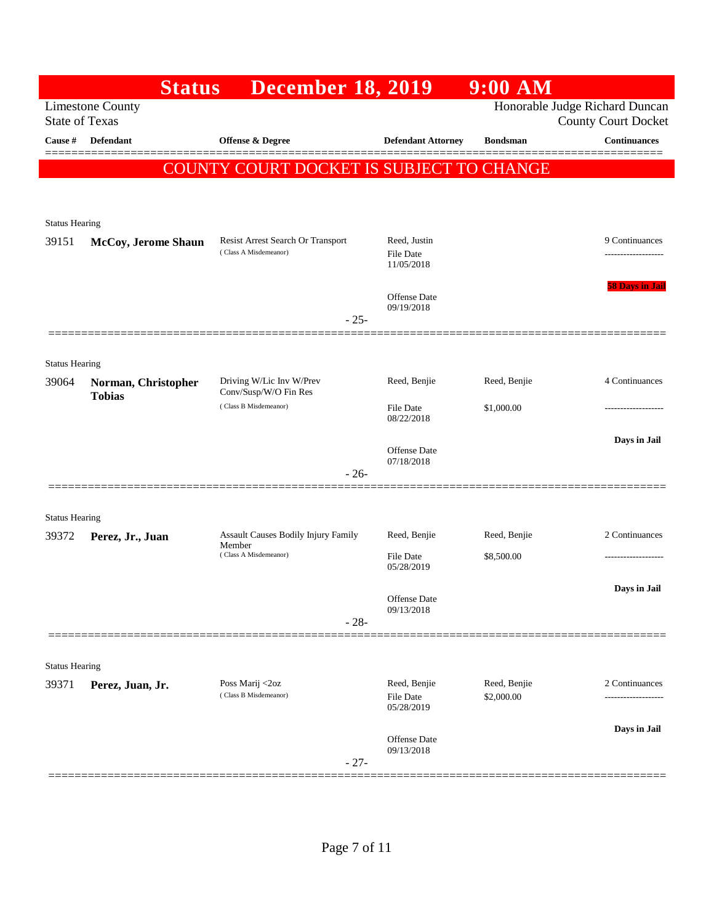|                       | <b>Status</b>                                    | <b>December 18, 2019</b>                          |                                | $9:00$ AM                  |                                                              |
|-----------------------|--------------------------------------------------|---------------------------------------------------|--------------------------------|----------------------------|--------------------------------------------------------------|
|                       | <b>Limestone County</b><br><b>State of Texas</b> |                                                   |                                |                            | Honorable Judge Richard Duncan<br><b>County Court Docket</b> |
| Cause #               | Defendant                                        | Offense & Degree                                  | <b>Defendant Attorney</b>      | <b>Bondsman</b>            | <b>Continuances</b>                                          |
|                       |                                                  | COUNTY COURT DOCKET IS SUBJECT TO CHANGE          |                                |                            |                                                              |
|                       |                                                  |                                                   |                                |                            |                                                              |
| <b>Status Hearing</b> |                                                  |                                                   |                                |                            |                                                              |
| 39151                 | McCoy, Jerome Shaun                              | Resist Arrest Search Or Transport                 | Reed, Justin                   |                            | 9 Continuances                                               |
|                       |                                                  | (Class A Misdemeanor)                             | <b>File Date</b><br>11/05/2018 |                            |                                                              |
|                       |                                                  |                                                   | <b>Offense Date</b>            |                            | <b>58 Days in Jail</b>                                       |
|                       |                                                  | $-25-$                                            | 09/19/2018                     |                            |                                                              |
|                       |                                                  |                                                   |                                |                            |                                                              |
| <b>Status Hearing</b> |                                                  |                                                   |                                |                            |                                                              |
| 39064                 | Norman, Christopher<br><b>Tobias</b>             | Driving W/Lic Inv W/Prev<br>Conv/Susp/W/O Fin Res | Reed, Benjie                   | Reed, Benjie               | 4 Continuances                                               |
|                       |                                                  | (Class B Misdemeanor)                             | <b>File Date</b><br>08/22/2018 | \$1,000.00                 |                                                              |
|                       |                                                  |                                                   |                                |                            | Days in Jail                                                 |
|                       |                                                  | $-26-$                                            | Offense Date<br>07/18/2018     |                            |                                                              |
|                       |                                                  |                                                   |                                |                            |                                                              |
| <b>Status Hearing</b> |                                                  |                                                   |                                |                            |                                                              |
| 39372                 | Perez, Jr., Juan                                 | Assault Causes Bodily Injury Family<br>Member     | Reed, Benjie                   | Reed, Benjie               | 2 Continuances                                               |
|                       |                                                  | (Class A Misdemeanor)                             | <b>File Date</b><br>05/28/2019 | \$8,500.00                 |                                                              |
|                       |                                                  |                                                   |                                |                            | Days in Jail                                                 |
|                       |                                                  | $-28-$                                            | Offense Date<br>09/13/2018     |                            |                                                              |
|                       |                                                  |                                                   |                                |                            |                                                              |
| <b>Status Hearing</b> |                                                  |                                                   |                                |                            |                                                              |
| 39371                 | Perez, Juan, Jr.                                 | Poss Marij <2oz<br>(Class B Misdemeanor)          | Reed, Benjie<br>File Date      | Reed, Benjie<br>\$2,000.00 | 2 Continuances                                               |
|                       |                                                  |                                                   | 05/28/2019                     |                            |                                                              |
|                       |                                                  |                                                   | Offense Date                   |                            | Days in Jail                                                 |
|                       |                                                  | $-27-$                                            | 09/13/2018                     |                            |                                                              |
|                       |                                                  |                                                   |                                |                            |                                                              |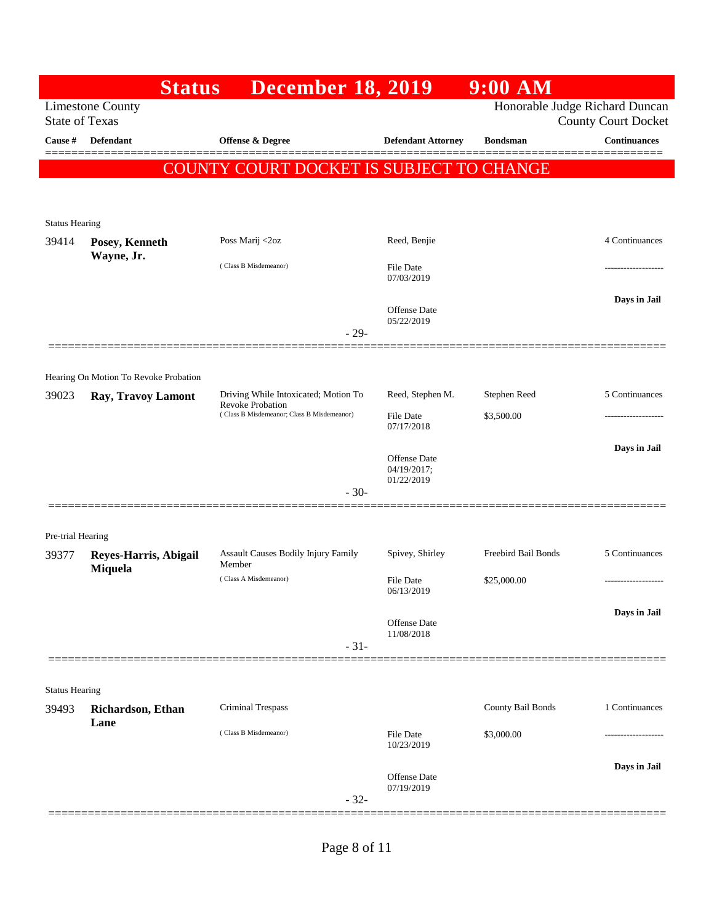|                            |                                       | <b>December 18, 2019</b><br><b>Status</b>                |                                | $9:00$ AM           |                                                              |
|----------------------------|---------------------------------------|----------------------------------------------------------|--------------------------------|---------------------|--------------------------------------------------------------|
| <b>State of Texas</b>      | <b>Limestone County</b>               |                                                          |                                |                     | Honorable Judge Richard Duncan<br><b>County Court Docket</b> |
| Cause #                    | <b>Defendant</b>                      | <b>Offense &amp; Degree</b>                              | <b>Defendant Attorney</b>      | <b>Bondsman</b>     | <b>Continuances</b>                                          |
|                            |                                       | COUNTY COURT DOCKET IS SUBJECT TO CHANGE                 |                                |                     |                                                              |
|                            |                                       |                                                          |                                |                     |                                                              |
|                            |                                       |                                                          |                                |                     |                                                              |
| <b>Status Hearing</b>      |                                       |                                                          |                                |                     |                                                              |
| 39414                      | Posey, Kenneth<br>Wayne, Jr.          | Poss Marij <2oz                                          | Reed, Benjie                   |                     | 4 Continuances                                               |
|                            |                                       | (Class B Misdemeanor)                                    | <b>File Date</b><br>07/03/2019 |                     |                                                              |
|                            |                                       |                                                          | <b>Offense Date</b>            |                     | Days in Jail                                                 |
|                            |                                       |                                                          | 05/22/2019<br>$-29-$           |                     |                                                              |
|                            |                                       |                                                          |                                |                     |                                                              |
|                            | Hearing On Motion To Revoke Probation |                                                          |                                |                     |                                                              |
| 39023                      | Ray, Travoy Lamont                    | Driving While Intoxicated; Motion To<br>Revoke Probation | Reed, Stephen M.               | Stephen Reed        | 5 Continuances                                               |
|                            |                                       | (Class B Misdemeanor; Class B Misdemeanor)               | <b>File Date</b><br>07/17/2018 | \$3,500.00          |                                                              |
|                            |                                       |                                                          | Offense Date                   |                     | Days in Jail                                                 |
|                            |                                       |                                                          | 04/19/2017;<br>01/22/2019      |                     |                                                              |
|                            |                                       |                                                          | $-30-$                         |                     |                                                              |
|                            |                                       |                                                          |                                |                     |                                                              |
| Pre-trial Hearing<br>39377 | Reyes-Harris, Abigail                 | Assault Causes Bodily Injury Family                      | Spivey, Shirley                | Freebird Bail Bonds | 5 Continuances                                               |
|                            | Miquela                               | Member<br>(Class A Misdemeanor)                          | <b>File Date</b>               | \$25,000.00         |                                                              |
|                            |                                       |                                                          | 06/13/2019                     |                     |                                                              |
|                            |                                       |                                                          | Offense Date                   |                     | Days in Jail                                                 |
|                            |                                       |                                                          | 11/08/2018<br>$-31-$           |                     |                                                              |
|                            |                                       |                                                          |                                |                     |                                                              |
| <b>Status Hearing</b>      |                                       |                                                          |                                |                     |                                                              |
| 39493                      | Richardson, Ethan                     | <b>Criminal Trespass</b>                                 |                                | County Bail Bonds   | 1 Continuances                                               |
|                            | Lane                                  | (Class B Misdemeanor)                                    |                                | \$3,000.00          |                                                              |
|                            |                                       |                                                          | <b>File Date</b><br>10/23/2019 |                     |                                                              |
|                            |                                       |                                                          | <b>Offense Date</b>            |                     | Days in Jail                                                 |
|                            |                                       |                                                          | 07/19/2019<br>$-32-$           |                     |                                                              |
|                            |                                       |                                                          |                                |                     |                                                              |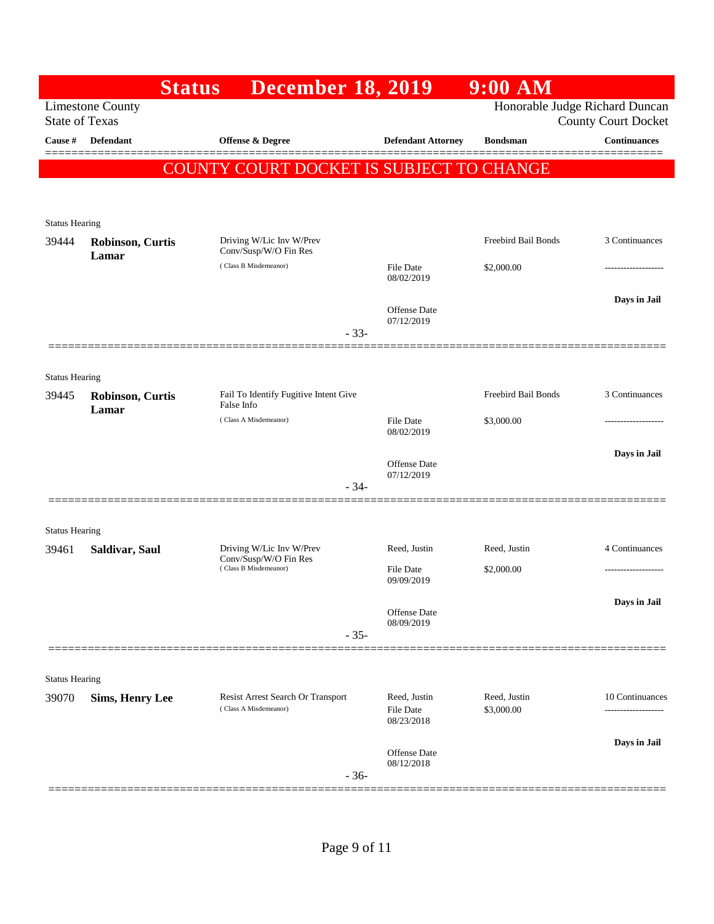|                       | <b>Status</b>                    | <b>December 18, 2019</b>                                   |                                                | $9:00$ AM                  |                                                              |
|-----------------------|----------------------------------|------------------------------------------------------------|------------------------------------------------|----------------------------|--------------------------------------------------------------|
| <b>State of Texas</b> | <b>Limestone County</b>          |                                                            |                                                |                            | Honorable Judge Richard Duncan<br><b>County Court Docket</b> |
| Cause #               | <b>Defendant</b>                 | <b>Offense &amp; Degree</b>                                | <b>Defendant Attorney</b>                      | <b>Bondsman</b>            | <b>Continuances</b>                                          |
|                       |                                  | COUNTY COURT DOCKET IS SUBJECT TO CHANGE                   |                                                |                            |                                                              |
|                       |                                  |                                                            |                                                |                            |                                                              |
| <b>Status Hearing</b> |                                  |                                                            |                                                |                            |                                                              |
| 39444                 | <b>Robinson, Curtis</b><br>Lamar | Driving W/Lic Inv W/Prev<br>Conv/Susp/W/O Fin Res          |                                                | Freebird Bail Bonds        | 3 Continuances                                               |
|                       |                                  | (Class B Misdemeanor)                                      | File Date<br>08/02/2019                        | \$2,000.00                 | ------------------                                           |
|                       |                                  |                                                            | Offense Date                                   |                            | Days in Jail                                                 |
|                       |                                  | $-33-$                                                     | 07/12/2019                                     |                            |                                                              |
|                       |                                  |                                                            |                                                |                            |                                                              |
| <b>Status Hearing</b> |                                  |                                                            |                                                |                            |                                                              |
| 39445                 | <b>Robinson, Curtis</b><br>Lamar | Fail To Identify Fugitive Intent Give<br>False Info        |                                                | Freebird Bail Bonds        | 3 Continuances                                               |
|                       |                                  | (Class A Misdemeanor)                                      | File Date<br>08/02/2019                        | \$3,000.00                 | ------------------                                           |
|                       |                                  |                                                            | Offense Date                                   |                            | Days in Jail                                                 |
|                       |                                  | $-34-$                                                     | 07/12/2019                                     |                            |                                                              |
|                       |                                  |                                                            |                                                |                            |                                                              |
| <b>Status Hearing</b> |                                  |                                                            |                                                |                            |                                                              |
| 39461                 | Saldivar, Saul                   | Driving W/Lic Inv W/Prev<br>Conv/Susp/W/O Fin Res          | Reed, Justin                                   | Reed, Justin               | 4 Continuances                                               |
|                       |                                  | (Class B Misdemeanor)                                      | <b>File Date</b><br>09/09/2019                 | \$2,000.00                 | ------------------                                           |
|                       |                                  |                                                            | <b>Offense Date</b>                            |                            | Days in Jail                                                 |
|                       |                                  | $-35-$                                                     | 08/09/2019                                     |                            |                                                              |
|                       |                                  |                                                            |                                                |                            |                                                              |
| <b>Status Hearing</b> |                                  |                                                            |                                                |                            |                                                              |
| 39070                 | <b>Sims, Henry Lee</b>           | Resist Arrest Search Or Transport<br>(Class A Misdemeanor) | Reed, Justin<br><b>File Date</b><br>08/23/2018 | Reed, Justin<br>\$3,000.00 | 10 Continuances<br>-------------------                       |
|                       |                                  |                                                            |                                                |                            | Days in Jail                                                 |
|                       |                                  | $-36-$                                                     | <b>Offense Date</b><br>08/12/2018              |                            |                                                              |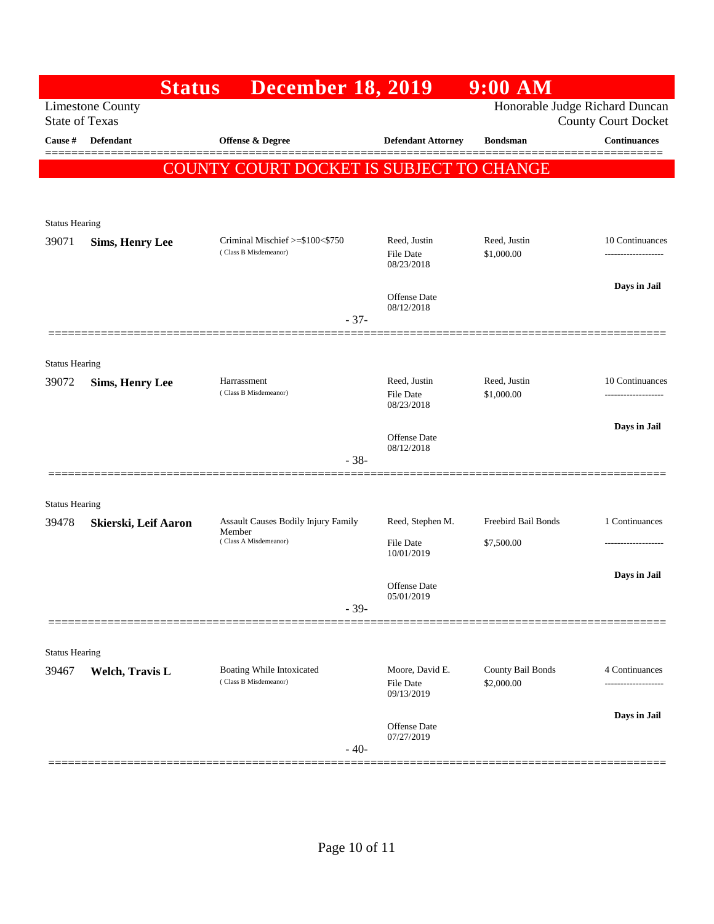|                       | <b>Status</b>           | <b>December 18, 2019</b>                                  |                                                | $9:00$ AM                       |                                                              |
|-----------------------|-------------------------|-----------------------------------------------------------|------------------------------------------------|---------------------------------|--------------------------------------------------------------|
| <b>State of Texas</b> | <b>Limestone County</b> |                                                           |                                                |                                 | Honorable Judge Richard Duncan<br><b>County Court Docket</b> |
| Cause #               | <b>Defendant</b>        | Offense & Degree                                          | <b>Defendant Attorney</b>                      | <b>Bondsman</b>                 | <b>Continuances</b>                                          |
|                       |                         | COUNTY COURT DOCKET IS SUBJECT TO CHANGE                  |                                                |                                 |                                                              |
|                       |                         |                                                           |                                                |                                 |                                                              |
| <b>Status Hearing</b> |                         |                                                           |                                                |                                 |                                                              |
| 39071                 | <b>Sims, Henry Lee</b>  | Criminal Mischief >=\$100<\$750<br>(Class B Misdemeanor)  | Reed, Justin<br>File Date                      | Reed, Justin<br>\$1,000.00      | 10 Continuances<br>------------------                        |
|                       |                         |                                                           | 08/23/2018                                     |                                 |                                                              |
|                       |                         |                                                           | Offense Date                                   |                                 | Days in Jail                                                 |
|                       |                         | $-37-$                                                    | 08/12/2018                                     |                                 |                                                              |
|                       | =============           |                                                           |                                                |                                 |                                                              |
| <b>Status Hearing</b> |                         |                                                           |                                                |                                 |                                                              |
| 39072                 | <b>Sims, Henry Lee</b>  | Harrassment<br>(Class B Misdemeanor)                      | Reed, Justin<br><b>File Date</b><br>08/23/2018 | Reed, Justin<br>\$1,000.00      | 10 Continuances<br>-------------------                       |
|                       |                         |                                                           |                                                |                                 | Days in Jail                                                 |
|                       |                         |                                                           | Offense Date<br>08/12/2018                     |                                 |                                                              |
|                       |                         | $-38-$                                                    |                                                |                                 |                                                              |
| <b>Status Hearing</b> |                         |                                                           |                                                |                                 |                                                              |
| 39478                 | Skierski, Leif Aaron    | Assault Causes Bodily Injury Family<br>Member             | Reed, Stephen M.                               | Freebird Bail Bonds             | 1 Continuances                                               |
|                       |                         | (Class A Misdemeanor)                                     | File Date<br>10/01/2019                        | \$7,500.00                      |                                                              |
|                       |                         |                                                           |                                                |                                 | Days in Jail                                                 |
|                       |                         |                                                           | <b>Offense Date</b><br>05/01/2019              |                                 |                                                              |
|                       |                         | $-39-$                                                    |                                                |                                 |                                                              |
| <b>Status Hearing</b> |                         |                                                           |                                                |                                 |                                                              |
| 39467                 | Welch, Travis L         | <b>Boating While Intoxicated</b><br>(Class B Misdemeanor) | Moore, David E.<br>File Date<br>09/13/2019     | County Bail Bonds<br>\$2,000.00 | 4 Continuances<br>------------------                         |
|                       |                         |                                                           | Offense Date                                   |                                 | Days in Jail                                                 |
|                       |                         | $-40-$                                                    | 07/27/2019                                     |                                 |                                                              |